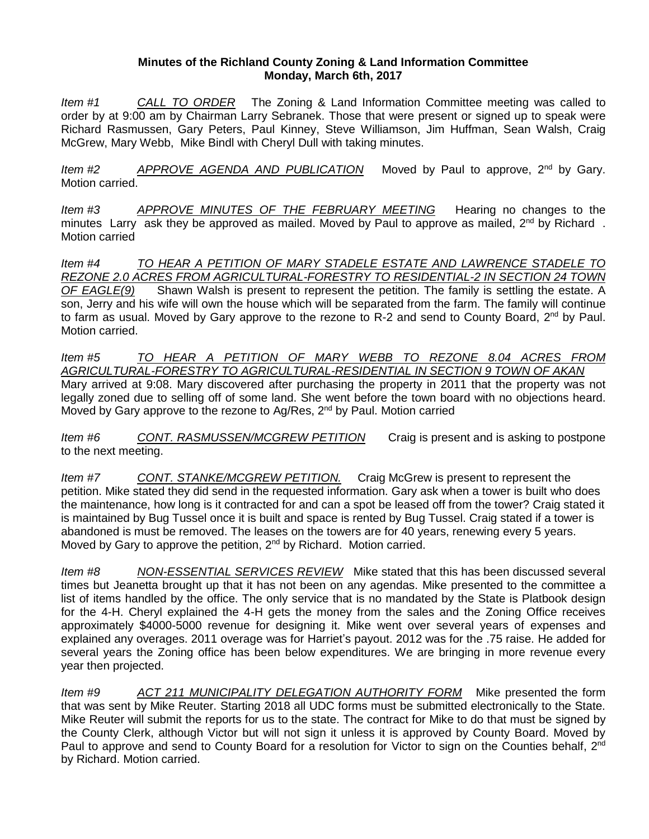## **Minutes of the Richland County Zoning & Land Information Committee Monday, March 6th, 2017**

*Item #1 CALL TO ORDER* The Zoning & Land Information Committee meeting was called to order by at 9:00 am by Chairman Larry Sebranek. Those that were present or signed up to speak were Richard Rasmussen, Gary Peters, Paul Kinney, Steve Williamson, Jim Huffman, Sean Walsh, Craig McGrew, Mary Webb, Mike Bindl with Cheryl Dull with taking minutes.

*Item #2 APPROVE AGENDA AND PUBLICATION* Moved by Paul to approve, 2nd by Gary. Motion carried.

*Item #3 APPROVE MINUTES OF THE FEBRUARY MEETING* Hearing no changes to the minutes Larry ask they be approved as mailed. Moved by Paul to approve as mailed,  $2^{nd}$  by Richard. Motion carried

*Item #4 TO HEAR A PETITION OF MARY STADELE ESTATE AND LAWRENCE STADELE TO REZONE 2.0 ACRES FROM AGRICULTURAL-FORESTRY TO RESIDENTIAL-2 IN SECTION 24 TOWN OF EAGLE(9)* Shawn Walsh is present to represent the petition. The family is settling the estate. A son, Jerry and his wife will own the house which will be separated from the farm. The family will continue to farm as usual. Moved by Gary approve to the rezone to R-2 and send to County Board, 2<sup>nd</sup> by Paul. Motion carried.

## *Item #5 TO HEAR A PETITION OF MARY WEBB TO REZONE 8.04 ACRES FROM AGRICULTURAL-FORESTRY TO AGRICULTURAL-RESIDENTIAL IN SECTION 9 TOWN OF AKAN*

Mary arrived at 9:08. Mary discovered after purchasing the property in 2011 that the property was not legally zoned due to selling off of some land. She went before the town board with no objections heard. Moved by Gary approve to the rezone to Ag/Res, 2<sup>nd</sup> by Paul. Motion carried

*Item #6 CONT. RASMUSSEN/MCGREW PETITION* Craig is present and is asking to postpone to the next meeting.

*Item #7 CONT. STANKE/MCGREW PETITION.* Craig McGrew is present to represent the petition. Mike stated they did send in the requested information. Gary ask when a tower is built who does the maintenance, how long is it contracted for and can a spot be leased off from the tower? Craig stated it is maintained by Bug Tussel once it is built and space is rented by Bug Tussel. Craig stated if a tower is abandoned is must be removed. The leases on the towers are for 40 years, renewing every 5 years. Moved by Gary to approve the petition, 2<sup>nd</sup> by Richard. Motion carried.

*Item #8 NON-ESSENTIAL SERVICES REVIEW* Mike stated that this has been discussed several times but Jeanetta brought up that it has not been on any agendas. Mike presented to the committee a list of items handled by the office. The only service that is no mandated by the State is Platbook design for the 4-H. Cheryl explained the 4-H gets the money from the sales and the Zoning Office receives approximately \$4000-5000 revenue for designing it. Mike went over several years of expenses and explained any overages. 2011 overage was for Harriet's payout. 2012 was for the .75 raise. He added for several years the Zoning office has been below expenditures. We are bringing in more revenue every year then projected.

*Item #9 ACT 211 MUNICIPALITY DELEGATION AUTHORITY FORM* Mike presented the form that was sent by Mike Reuter. Starting 2018 all UDC forms must be submitted electronically to the State. Mike Reuter will submit the reports for us to the state. The contract for Mike to do that must be signed by the County Clerk, although Victor but will not sign it unless it is approved by County Board. Moved by Paul to approve and send to County Board for a resolution for Victor to sign on the Counties behalf, 2<sup>nd</sup> by Richard. Motion carried.